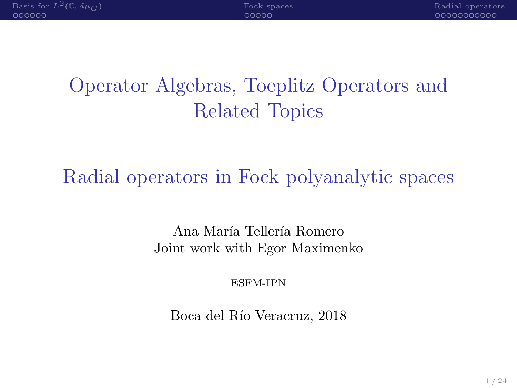| Basis for $L^2(\mathbb{C}, d\mu_C)$ | Fock spaces | Radial operators |
|-------------------------------------|-------------|------------------|
| oooooo                              | nnnnn       | -00000000000     |
|                                     |             |                  |

# Operator Algebras, Toeplitz Operators and Related Topics

# Radial operators in Fock polyanalytic spaces

Ana María Tellería Romero Joint work with Egor Maximenko

ESFM-IPN

Boca del Río Veracruz, 2018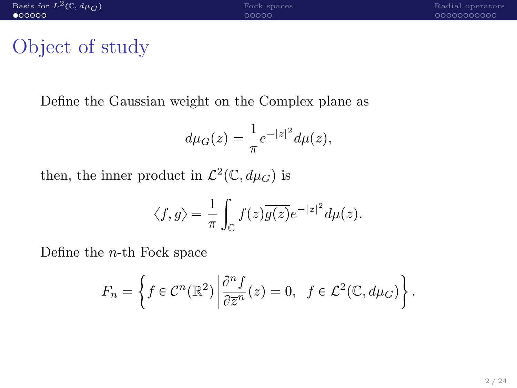# <span id="page-1-0"></span>Object of study

Define the Gaussian weight on the Complex plane as

$$
d\mu_G(z) = \frac{1}{\pi}e^{-|z|^2}d\mu(z),
$$

then, the inner product in  $\mathcal{L}^2(\mathbb{C}, d\mu_G)$  is

$$
\langle f, g \rangle = \frac{1}{\pi} \int_{\mathbb{C}} f(z) \overline{g(z)} e^{-|z|^2} d\mu(z).
$$

Define the  $n$ -th Fock space

$$
F_n = \left\{ f \in \mathcal{C}^n(\mathbb{R}^2) \, \middle| \, \frac{\partial^n f}{\partial \overline{z}^n}(z) = 0, \ f \in \mathcal{L}^2(\mathbb{C}, d\mu_G) \right\}.
$$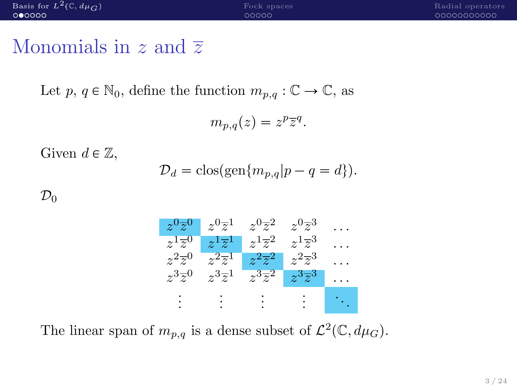| Basis for $L^2(\mathbb{C}, d\mu_G)$ | Fock spaces | Radial operators |
|-------------------------------------|-------------|------------------|
| 000000                              | 00000       | 00000000000      |
|                                     |             |                  |
|                                     |             |                  |
|                                     |             |                  |

#### Monomials in z and  $\overline{z}$

Let  $p, q \in \mathbb{N}_0$ , define the function  $m_{p,q} : \mathbb{C} \to \mathbb{C}$ , as

$$
m_{p,q}(z) = z^p \overline{z}^q.
$$

Given  $d \in \mathbb{Z}$ ,

$$
\mathcal{D}_d = \text{clos}(\text{gen}\{m_{p,q}|p-q=d\}).
$$

 $\mathcal{D}_0$ 



The linear span of  $m_{p,q}$  is a dense subset of  $\mathcal{L}^2(\mathbb{C}, d\mu_G)$ .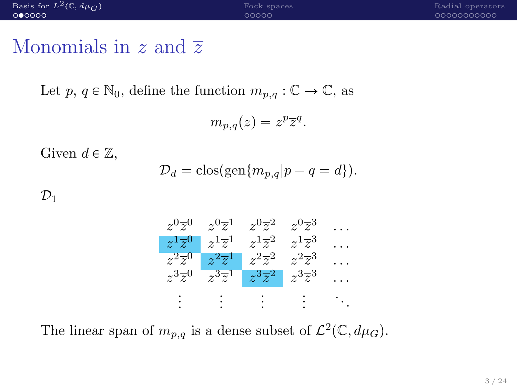| Basis for $L^2(\mathbb{C}, d\mu_C)$ | Fock spaces | Radial operators |
|-------------------------------------|-------------|------------------|
| 000000                              | 00000       | 00000000000      |
|                                     |             |                  |

#### Monomials in z and  $\overline{z}$

Let  $p, q \in \mathbb{N}_0$ , define the function  $m_{p,q} : \mathbb{C} \to \mathbb{C}$ , as

$$
m_{p,q}(z) = z^p \overline{z}^q.
$$

Given  $d \in \mathbb{Z}$ ,

$$
\mathcal{D}_d = \text{clos}(\text{gen}\{m_{p,q}|p-q=d\}).
$$

 $\mathcal{D}_1$ 



The linear span of  $m_{p,q}$  is a dense subset of  $\mathcal{L}^2(\mathbb{C}, d\mu_G)$ .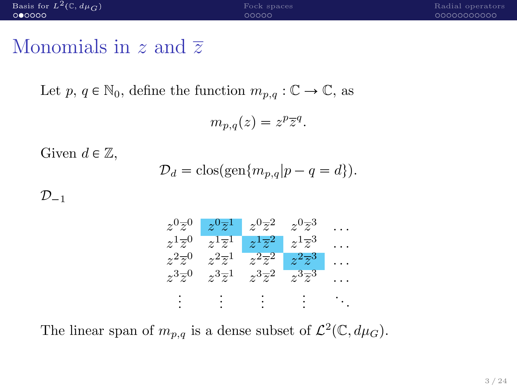| Basis for $L^2(\mathbb{C}, d\mu_G)$ | Fock spaces | Radial operators |
|-------------------------------------|-------------|------------------|
| 000000                              | 00000       | 00000000000      |
| the contract of the contract of     |             |                  |

#### Monomials in z and  $\overline{z}$

Let  $p, q \in \mathbb{N}_0$ , define the function  $m_{p,q} : \mathbb{C} \to \mathbb{C}$ , as

$$
m_{p,q}(z) = z^p \overline{z}^q.
$$

Given  $d \in \mathbb{Z}$ ,

$$
\mathcal{D}_d = \text{clos}(\text{gen}\{m_{p,q}|p-q=d\}).
$$

 $\mathcal{D}_{-1}$ 



The linear span of  $m_{p,q}$  is a dense subset of  $\mathcal{L}^2(\mathbb{C}, d\mu_G)$ .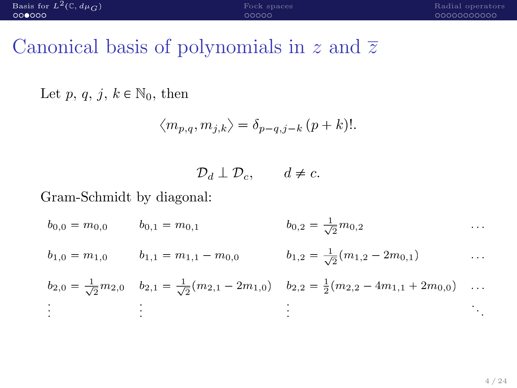# Canonical basis of polynomials in z and  $\overline{z}$

Let p, q, j,  $k \in \mathbb{N}_0$ , then

$$
\langle m_{p,q}, m_{j,k} \rangle = \delta_{p-q,j-k} (p+k)!
$$

$$
\mathcal{D}_d \perp \mathcal{D}_c, \qquad d \neq c.
$$

#### Gram-Schmidt by diagonal:

$$
b_{0,0} = m_{0,0} \t b_{0,1} = m_{0,1} \t b_{0,2} = \frac{1}{\sqrt{2}} m_{0,2} \t \cdots
$$
  
\n
$$
b_{1,0} = m_{1,0} \t b_{1,1} = m_{1,1} - m_{0,0} \t b_{1,2} = \frac{1}{\sqrt{2}} (m_{1,2} - 2m_{0,1}) \t \cdots
$$
  
\n
$$
b_{2,0} = \frac{1}{\sqrt{2}} m_{2,0} \t b_{2,1} = \frac{1}{\sqrt{2}} (m_{2,1} - 2m_{1,0}) \t b_{2,2} = \frac{1}{2} (m_{2,2} - 4m_{1,1} + 2m_{0,0}) \t \cdots
$$
  
\n
$$
\vdots \t \vdots \t \vdots
$$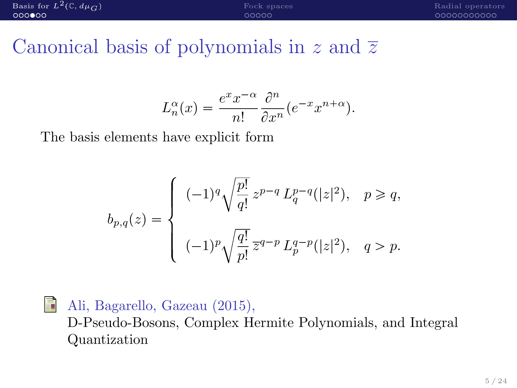Canonical basis of polynomials in z and  $\overline{z}$ 

$$
L_n^{\alpha}(x) = \frac{e^x x^{-\alpha}}{n!} \frac{\partial^n}{\partial x^n} (e^{-x} x^{n+\alpha}).
$$

The basis elements have explicit form

$$
b_{p,q}(z) = \begin{cases} (-1)^q \sqrt{\frac{p!}{q!}} z^{p-q} L_q^{p-q}(|z|^2), & p \ge q, \\ \\ (-1)^p \sqrt{\frac{q!}{p!}} \, \overline{z}^{q-p} \, L_p^{q-p}(|z|^2), & q > p. \end{cases}
$$

#### F Ali, Bagarello, Gazeau (2015),

D-Pseudo-Bosons, Complex Hermite Polynomials, and Integral Quantization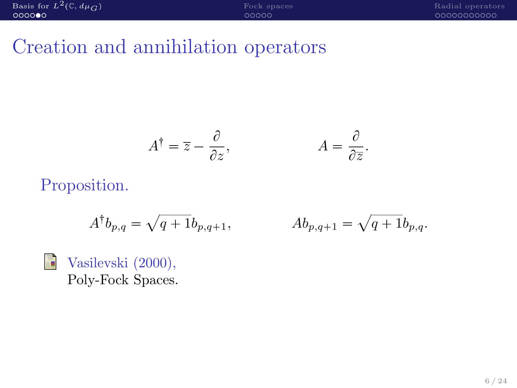# Creation and annihilation operators

$$
A^{\dagger} = \overline{z} - \frac{\partial}{\partial z}, \qquad A = \frac{\partial}{\partial \overline{z}}.
$$

#### Proposition.

$$
A^{\dagger}b_{p,q} = \sqrt{q+1}b_{p,q+1}, \qquad \qquad Ab_{p,q+1} =
$$

$$
Ab_{p,q+1} = \sqrt{q+1}b_{p,q}.
$$



Vasilevski (2000), Poly-Fock Spaces.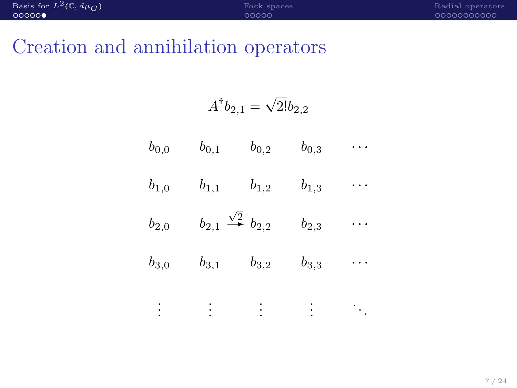# Creation and annihilation operators

$$
A^\dagger b_{2,1} = \sqrt{2!} b_{2,2}
$$

| $b_{0,0}$ | $b_{0,1}$                                          | $b_{0,2}$ | $b_{0,3}$ |  |
|-----------|----------------------------------------------------|-----------|-----------|--|
| $b_{1,0}$ | $b_{1,1}$                                          | $b_{1,2}$ | $b_{1,3}$ |  |
| $b_{2,0}$ | $b_{2,1} \stackrel{\sqrt{2}}{\rightarrow} b_{2,2}$ |           | $b_{2,3}$ |  |
| $b_{3,0}$ | $b_{3,1}$                                          | $b_{3,2}$ | $b_{3,3}$ |  |
|           |                                                    |           |           |  |

. . . . . . . . . . . . . . .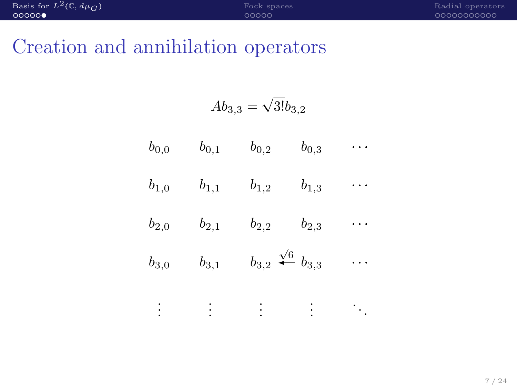## Creation and annihilation operators

$$
Ab_{3,3}=\sqrt{3!}b_{3,2}
$$

- $b_{0,0}$   $b_{0,1}$   $b_{0,2}$   $b_{0,3}$  ...  $b_{1,0}$   $b_{1,1}$   $b_{1,2}$   $b_{1,3}$  ...  $b_{2,0}$   $b_{2,1}$   $b_{2,2}$   $b_{2,3}$  ...  $b_{3,0}$   $b_{3,1}$   $b_{3,2}$   $\frac{\sqrt{6}}{6}$   $b_{3,3}$  ...
	- . . . . . . . . . . . . . . .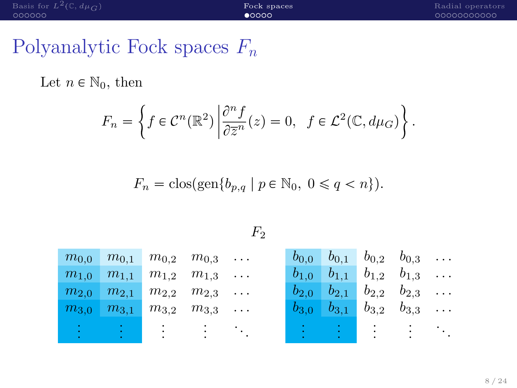<span id="page-10-0"></span>Let  $n \in \mathbb{N}_0$ , then

$$
F_n = \left\{ f \in \mathcal{C}^n(\mathbb{R}^2) \, \middle| \, \frac{\partial^n f}{\partial \overline{z}^n}(z) = 0, \ f \in \mathcal{L}^2(\mathbb{C}, d\mu_G) \right\}.
$$

 $F_n = \text{clos}(\text{gen}\{b_{p,q} \mid p \in \mathbb{N}_0, 0 \leq q < n\}).$ 

|  | $m_{0.0}$ $m_{0.1}$ $m_{0.2}$ $m_{0.3}$ |  | $b_{0,0}$ $b_{0,1}$ $b_{0,2}$ $b_{0,3}$ |  |  |
|--|-----------------------------------------|--|-----------------------------------------|--|--|
|  | $m_{1,0}$ $m_{1,1}$ $m_{1,2}$ $m_{1,3}$ |  | $b_{1,0}$ $b_{1,1}$ $b_{1,2}$ $b_{1,3}$ |  |  |
|  | $m_{2,0}$ $m_{2,1}$ $m_{2,2}$ $m_{2,3}$ |  | $b_{2,0}$ $b_{2,1}$ $b_{2,2}$ $b_{2,3}$ |  |  |
|  | $m_{3,0}$ $m_{3,1}$ $m_{3,2}$ $m_{3,3}$ |  | $b_{3,0}$ $b_{3,1}$ $b_{3,2}$ $b_{3,3}$ |  |  |
|  |                                         |  |                                         |  |  |
|  |                                         |  |                                         |  |  |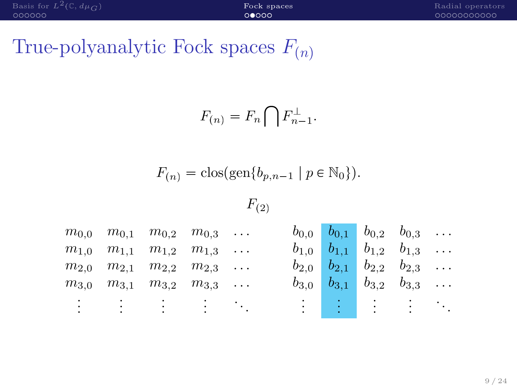# True-polyanalytic Fock spaces  $F_{(n)}$

$$
F_{(n)} = F_n \bigcap F_{n-1}^{\perp}.
$$

$$
F_{(n)} = \text{clos}(\text{gen}\{b_{p,n-1} \mid p \in \mathbb{N}_0\}).
$$

 $F_{(2)}$ 

 $m_{0.0}$   $m_{0.1}$   $m_{0.2}$   $m_{0.3}$  ...  $m_{1,0}$   $m_{1,1}$   $m_{1,2}$   $m_{1,3}$  ...  $m_{2,0}$   $m_{2,1}$   $m_{2,2}$   $m_{2,3}$  ...  $m_{3,0}$   $m_{3,1}$   $m_{3,2}$   $m_{3,3}$  ... . . . . . . . . . . . . . . .  $b_{0.0}$   $b_{0.1}$   $b_{0.2}$   $b_{0.3}$  ...  $b_{1,0}$   $b_{1,1}$   $b_{1,2}$   $b_{1,3}$  ...  $b_{2,0}$   $b_{2,1}$   $b_{2,2}$   $b_{2,3}$  ...  $b_{3,0}$   $b_{3,1}$   $b_{3,2}$   $b_{3,3}$  ... . . . . . . . . . . . . . . .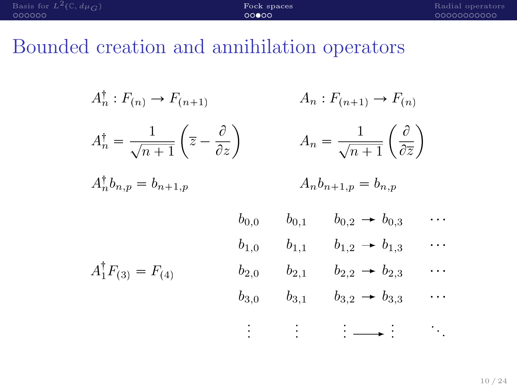| Basis for $L^2(\mathbb{C}, d\mu_{\Omega})$ | Fock spaces | Radial operators |
|--------------------------------------------|-------------|------------------|
| COOOOO                                     | 00000       | - 00000000000    |
|                                            |             |                  |

# Bounded creation and annihilation operators

| $A_n^{\dagger}: F_{(n)} \to F_{(n+1)}$                                                           |                                                                                    |           | $A_n : F_{(n+1)} \to F_{(n)}$                               |                       |
|--------------------------------------------------------------------------------------------------|------------------------------------------------------------------------------------|-----------|-------------------------------------------------------------|-----------------------|
| $A_n^{\dagger} = \frac{1}{\sqrt{n+1}} \left( \overline{z} - \frac{\partial}{\partial z} \right)$ | $A_n = \frac{1}{\sqrt{n+1}} \left( \frac{\partial}{\partial \overline{z}} \right)$ |           |                                                             |                       |
| $A_n^{\dagger}b_{n,p}=b_{n+1,p}$                                                                 |                                                                                    |           | $A_n b_{n+1,p} = b_{n,p}$                                   |                       |
|                                                                                                  | $b_{0.0}$                                                                          | $b_{0,1}$ | $b_{0,2} \rightarrow b_{0,3}$                               | e e s                 |
|                                                                                                  | $b_{1,0}$                                                                          | $b_{1,1}$ | $b_{1,2} \rightarrow b_{1,3}$                               | i i s                 |
| $A_1^{\dagger} F_{(3)} = F_{(4)}$                                                                | $b_{2,0}$                                                                          | $b_{2,1}$ | $b_{2,2} \rightarrow b_{2,3}$                               | $\cdots$              |
|                                                                                                  | $b_{3,0}$                                                                          | $b_{3,1}$ | $b_{3,2} \rightarrow b_{3,3}$                               | .                     |
|                                                                                                  |                                                                                    | i Eng     | $\left  \cdot \right  \longrightarrow \left  \cdot \right $ | $\mathbb{Z}_{\geq 0}$ |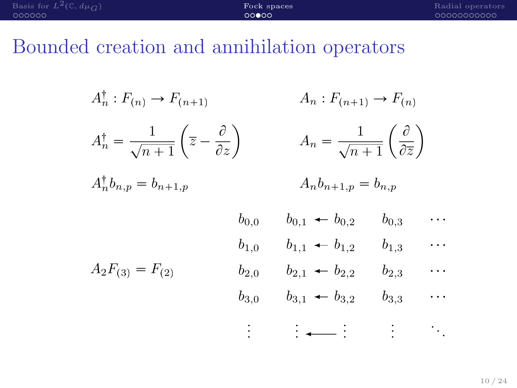| Basis for $L^2(\mathbb{C}, d\mu_G)$ | Fock spaces | Radial operators |
|-------------------------------------|-------------|------------------|
| 000000                              | 00000       | , annononono     |
|                                     |             |                  |

# Bounded creation and annihilation operators

| $A_n^{\dagger}: F_{(n)} \to F_{(n+1)}$                                                           |           | $A_n : F_{(n+1)} \to F_{(n)}$                                                      |           |                        |  |
|--------------------------------------------------------------------------------------------------|-----------|------------------------------------------------------------------------------------|-----------|------------------------|--|
| $A_n^{\dagger} = \frac{1}{\sqrt{n+1}} \left( \overline{z} - \frac{\partial}{\partial z} \right)$ |           | $A_n = \frac{1}{\sqrt{n+1}} \left( \frac{\partial}{\partial \overline{z}} \right)$ |           |                        |  |
| $A_n^{\dagger}b_{n,p}=b_{n+1,p}$                                                                 |           | $A_n b_{n+1,p} = b_{n,p}$                                                          |           |                        |  |
|                                                                                                  | $b_{0,0}$ | $b_{0,1} \leftarrow b_{0,2}$                                                       | $b_{0,3}$ | .                      |  |
|                                                                                                  | $b_{1,0}$ | $b_{1,1} \leftarrow b_{1,2}$                                                       | $b_{1,3}$ | .                      |  |
| $A_2F_{(3)}=F_{(2)}$                                                                             | $b_{2,0}$ | $b_{2,1} \leftarrow b_{2,2}$                                                       | $b_{2,3}$ | e e s                  |  |
|                                                                                                  | $b_{3,0}$ | $b_{3,1} \leftarrow b_{3,2}$                                                       | $b_{3,3}$ | .                      |  |
|                                                                                                  |           | $\frac{1}{2}$ $\leftarrow$                                                         |           | $\ddot{\phantom{0}}$ . |  |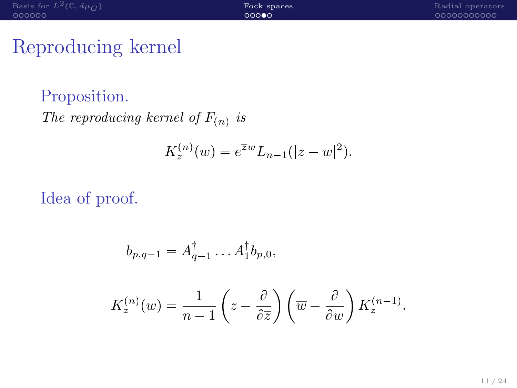## Reproducing kernel

Proposition. The reproducing kernel of  $F_{(n)}$  is

$$
K_z^{(n)}(w) = e^{\overline{z}w} L_{n-1}(|z-w|^2).
$$

#### Idea of proof.

$$
b_{p,q-1} = A_{q-1}^{\dagger} \dots A_1^{\dagger} b_{p,0},
$$
  

$$
K_z^{(n)}(w) = \frac{1}{n-1} \left( z - \frac{\partial}{\partial \overline{z}} \right) \left( \overline{w} - \frac{\partial}{\partial w} \right) K_z^{(n-1)}.
$$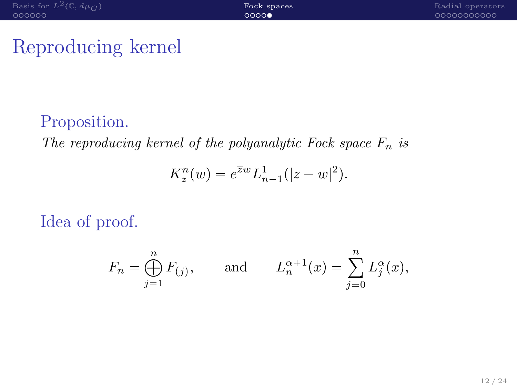## Reproducing kernel

#### Proposition.

The reproducing kernel of the polyanalytic Fock space  $F_n$  is

$$
K_z^n(w) = e^{\overline{z}w} L_{n-1}^1(|z-w|^2).
$$

Idea of proof.

$$
F_n = \bigoplus_{j=1}^n F_{(j)},
$$
 and  $L_n^{\alpha+1}(x) = \sum_{j=0}^n L_j^{\alpha}(x),$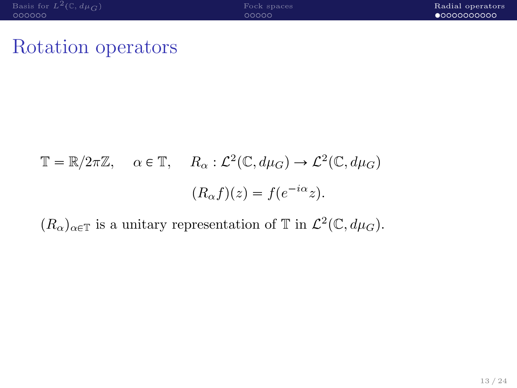#### <span id="page-16-0"></span>Rotation operators

$$
\mathbb{T} = \mathbb{R}/2\pi\mathbb{Z}, \quad \alpha \in \mathbb{T}, \quad R_{\alpha} : \mathcal{L}^{2}(\mathbb{C}, d\mu_{G}) \to \mathcal{L}^{2}(\mathbb{C}, d\mu_{G})
$$

$$
(R_{\alpha}f)(z) = f(e^{-i\alpha}z).
$$

 $(R_{\alpha})_{\alpha \in \mathbb{T}}$  is a unitary representation of  $\mathbb{T}$  in  $\mathcal{L}^2(\mathbb{C}, d\mu_G)$ .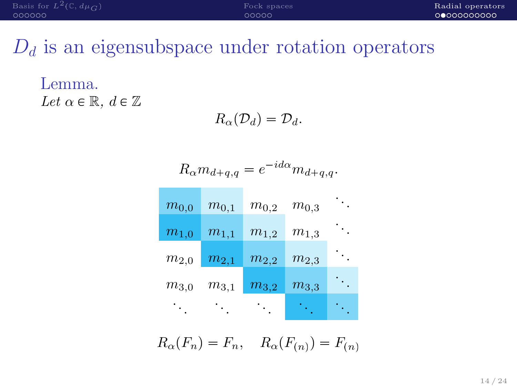## $D_d$  is an eigensubspace under rotation operators

Lemma. Let  $\alpha \in \mathbb{R}$ ,  $d \in \mathbb{Z}$ 

 $R_{\alpha}(\mathcal{D}_d) = \mathcal{D}_d$ .

$$
R_{\alpha}m_{d+q,q}=e^{-id\alpha}m_{d+q,q}.
$$

| $m_{0,0}$            | $m_{0,1}$ | $m_{0,2}$ | $m_{0,3}$ |  |
|----------------------|-----------|-----------|-----------|--|
| $\overline{m_{1,0}}$ | $m_{1,1}$ | $m_{1,2}$ | $m_{1,3}$ |  |
| $m_{2,0}$            | $m_{2,1}$ | $m_{2,2}$ | $m_{2,3}$ |  |
| $m_{3,0}$            | $m_{3,1}$ | $m_{3,2}$ | $m_{3,3}$ |  |
|                      |           |           |           |  |

 $R_{\alpha}(F_n) = F_n$ ,  $R_{\alpha}(F_{(n)}) = F_{(n)}$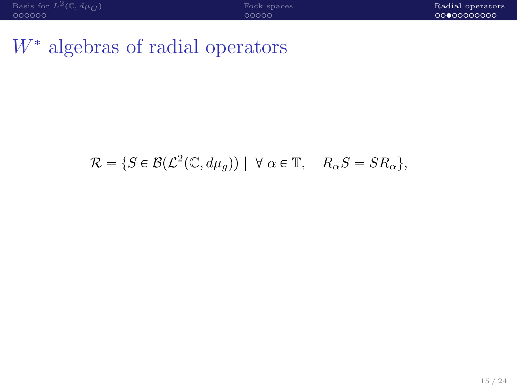# $W^*$  algebras of radial operators

# $\mathcal{R} = \{ S \in \mathcal{B}(\mathcal{L}^2(\mathbb{C}, d\mu_g)) \mid \forall \alpha \in \mathbb{T}, \quad R_\alpha S = S R_\alpha \},\$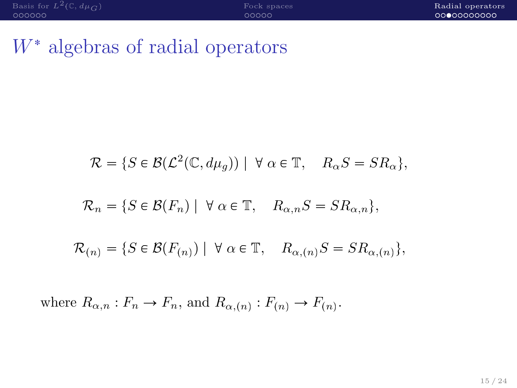# $W^*$  algebras of radial operators

$$
\mathcal{R} = \{ S \in \mathcal{B}(\mathcal{L}^2(\mathbb{C}, d\mu_g)) \mid \forall \alpha \in \mathbb{T}, R_{\alpha} S = S R_{\alpha} \},
$$
  

$$
\mathcal{R}_n = \{ S \in \mathcal{B}(F_n) \mid \forall \alpha \in \mathbb{T}, R_{\alpha,n} S = S R_{\alpha,n} \},
$$
  

$$
\mathcal{R}_{(n)} = \{ S \in \mathcal{B}(F_{(n)}) \mid \forall \alpha \in \mathbb{T}, R_{\alpha,(n)} S = S R_{\alpha,(n)} \},
$$

where  $R_{\alpha,n}: F_n \to F_n$ , and  $R_{\alpha,(n)}: F_{(n)} \to F_{(n)}$ .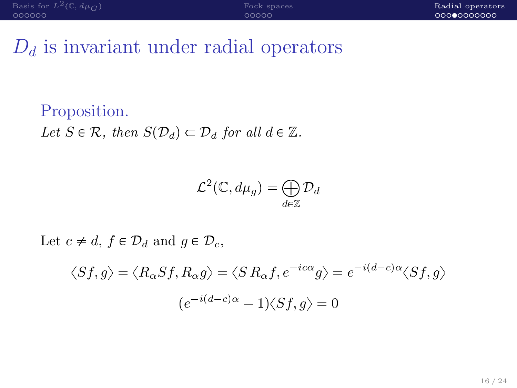# $D_d$  is invariant under radial operators

#### Proposition.

Let  $S \in \mathcal{R}$ , then  $S(\mathcal{D}_d) \subset \mathcal{D}_d$  for all  $d \in \mathbb{Z}$ .

$$
\mathcal{L}^2(\mathbb{C}, d\mu_g) = \bigoplus_{d \in \mathbb{Z}} \mathcal{D}_d
$$

Let  $c \neq d$ ,  $f \in \mathcal{D}_d$  and  $g \in \mathcal{D}_c$ ,

$$
\langle Sf, g \rangle = \langle R_{\alpha} Sf, R_{\alpha} g \rangle = \langle S R_{\alpha} f, e^{-ic\alpha} g \rangle = e^{-i(d-c)\alpha} \langle Sf, g \rangle
$$

$$
(e^{-i(d-c)\alpha} - 1) \langle Sf, g \rangle = 0
$$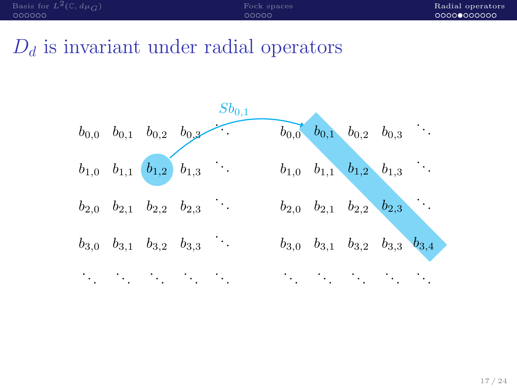# $D_d$  is invariant under radial operators

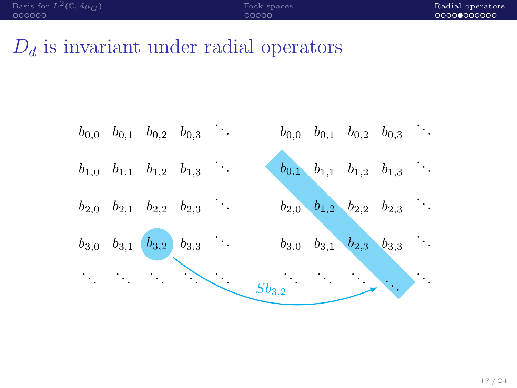# $D_d$  is invariant under radial operators

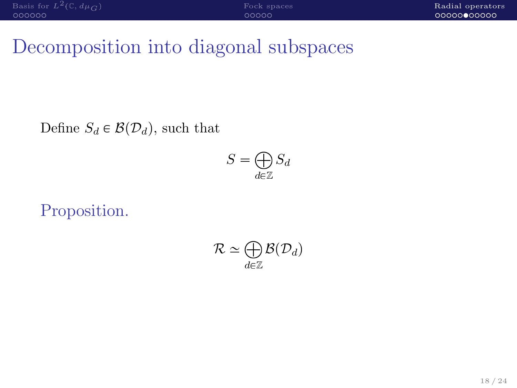# Decomposition into diagonal subspaces

Define  $S_d \in \mathcal{B}(\mathcal{D}_d)$ , such that

$$
S = \bigoplus_{d \in \mathbb{Z}} S_d
$$

Proposition.

$$
\mathcal{R} \simeq \bigoplus_{d \in \mathbb{Z}} \mathcal{B}(\mathcal{D}_d)
$$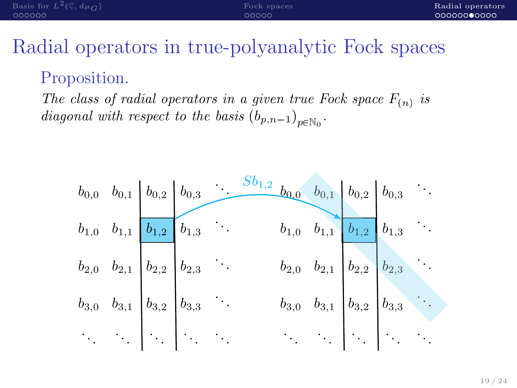| Basis for $L^2(\mathbb{C}, d\mu_{\mathcal{C}})$ | Fock spaces | Radial operators |
|-------------------------------------------------|-------------|------------------|
| - ററററററ                                        | 00000       | 00000000000      |

#### Proposition.

The class of radial operators in a given true Fock space  $F_{(n)}$  is diagonal with respect to the basis  $(b_{p,n-1})_{p \in \mathbb{N}_0}$ .

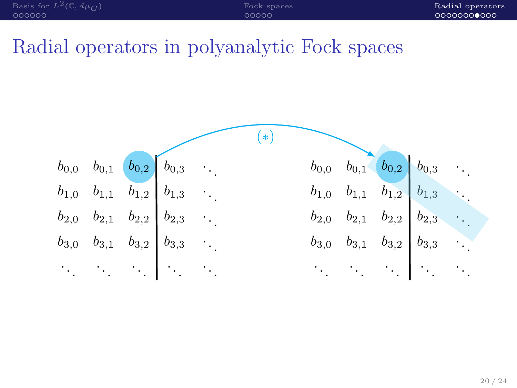| Basis for $L^2(\mathbb{C}, d\mu_C)$ | Fock spaces | Radial operators |
|-------------------------------------|-------------|------------------|
| LOQQQQ                              | ೦೦೦೦೦       | 00000000000      |

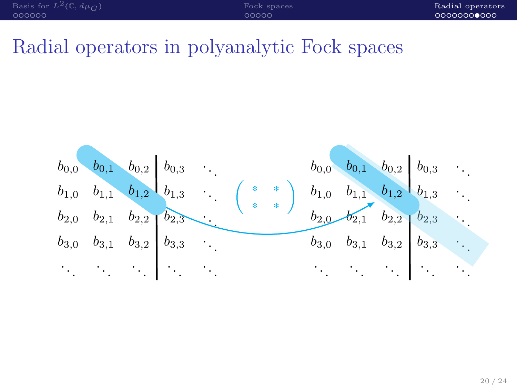| Basis for $L^2(\mathbb{C}, d\mu_C)$ | Fock spaces | Radial operators |
|-------------------------------------|-------------|------------------|
| - OOOOOO                            | nnnnn       | 00000000000      |

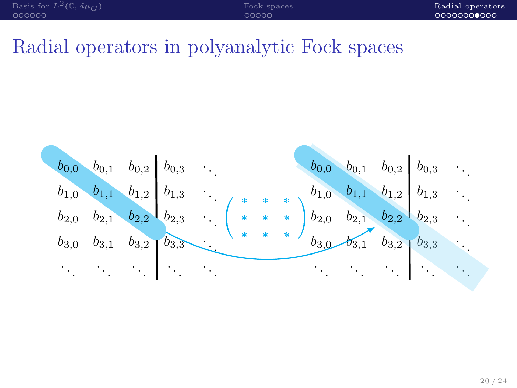| Basis for $L^2(\mathbb{C}, d\mu_{\mathcal{C}})$ | Fock spaces | Radial operators |
|-------------------------------------------------|-------------|------------------|
| - ററററററ                                        | 00000       | 00000000000      |

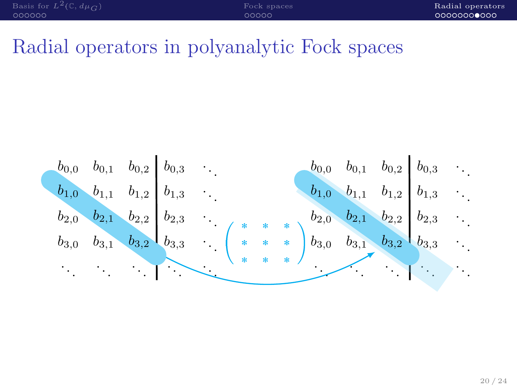| Basis for $L^2(\mathbb{C}, d\mu_C)$ | Fock spaces | Radial operators |
|-------------------------------------|-------------|------------------|
| - QOOQOO                            | 00000       | 00000000000      |

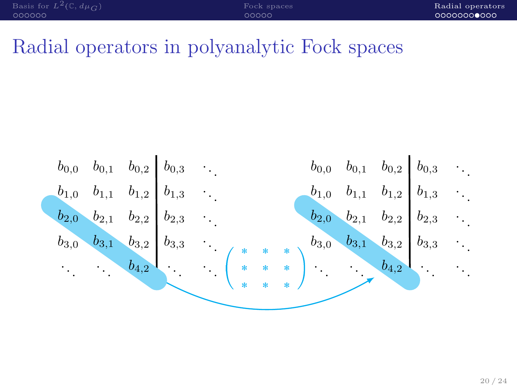| Basis for $L^2(\mathbb{C}, d\mu_C)$ | Fock spaces | Radial operators |
|-------------------------------------|-------------|------------------|
| - OOOOOO                            | nnnnn       | 00000000000      |

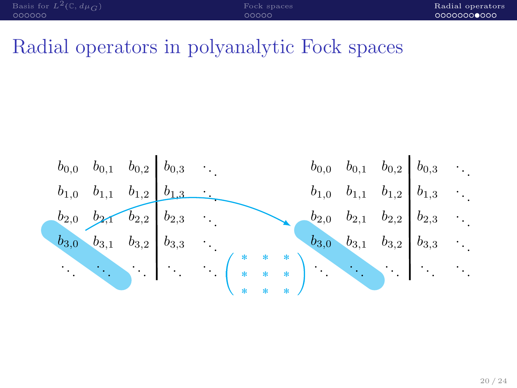| Basis for $L^2(\mathbb{C}, d\mu_C)$ | Fock spaces | Radial operators |
|-------------------------------------|-------------|------------------|
| LOQQQQ                              | anno        | 00000000000      |

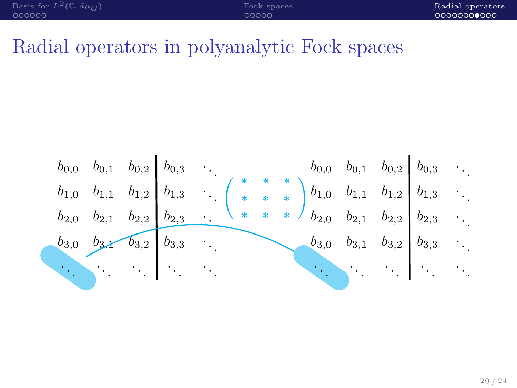| Basis for $L^2(\mathbb{C}, d\mu_C)$ | Fock spaces | Radial operators |
|-------------------------------------|-------------|------------------|
| LOQQQQ                              | 00000       | 00000000000      |

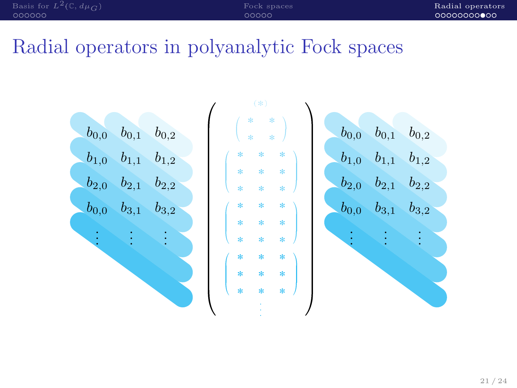| Basis for $L^2(\mathbb{C}, d\mu_{\mathcal{C}})$<br>Fock spaces | Radial operators |
|----------------------------------------------------------------|------------------|
| 000000<br>00000                                                | 00000000000      |

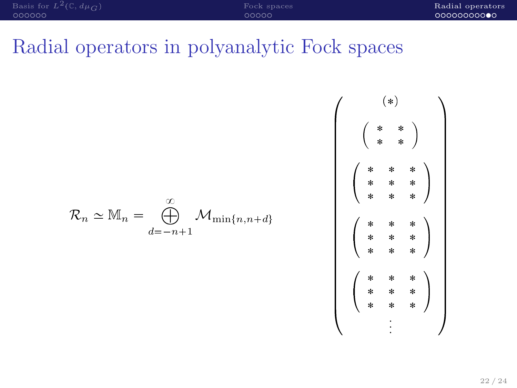pq - . . . 

$$
\mathcal{R}_n \simeq \mathbb{M}_n = \bigoplus_{d=-n+1}^{\infty} \mathcal{M}_{\min\{n,n+d\}}
$$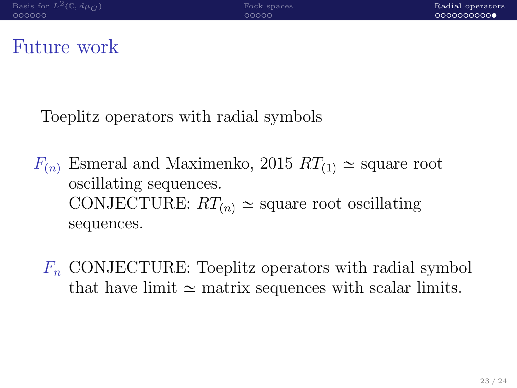#### Future work

Toeplitz operators with radial symbols

- $F_{(n)}$  Esmeral and Maximenko, 2015  $RT_{(1)} \simeq$  square root oscillating sequences. CONJECTURE:  $RT_{(n)} \simeq$  square root oscillating sequences.
	- $F_n$  CONJECTURE: Toeplitz operators with radial symbol that have limit  $\simeq$  matrix sequences with scalar limits.